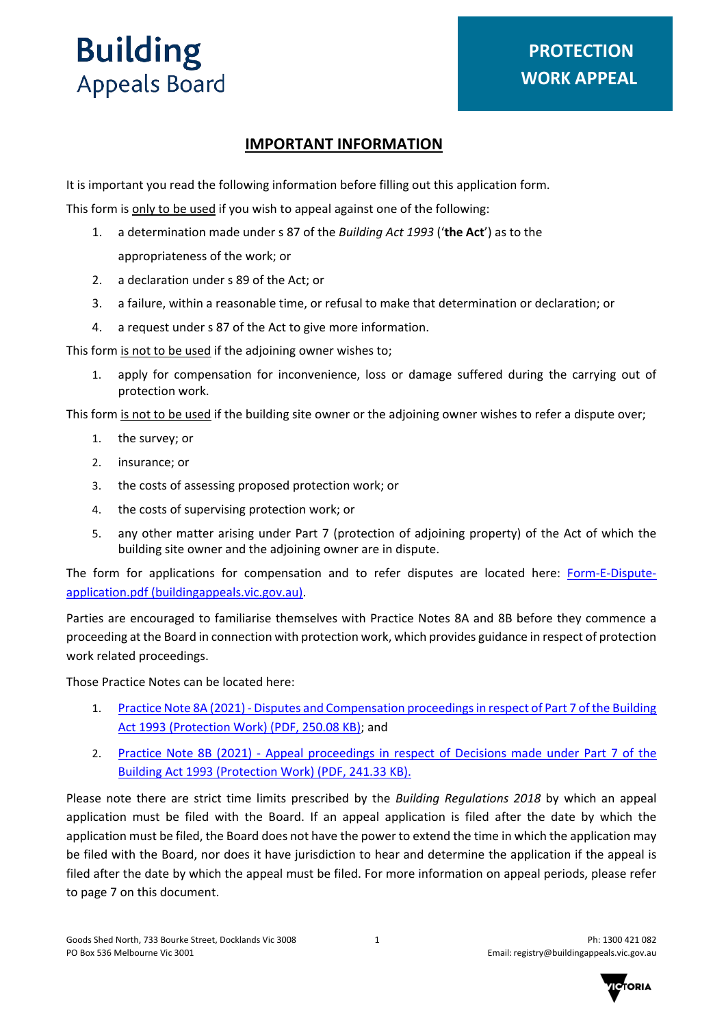

## **IMPORTANT INFORMATION**

It is important you read the following information before filling out this application form.

This form is only to be used if you wish to appeal against one of the following:

- 1. a determination made under s 87 of the *Building Act 1993* ('**the Act**') as to the appropriateness of the work; or
- 2. a declaration under s 89 of the Act; or
- 3. a failure, within a reasonable time, or refusal to make that determination or declaration; or
- 4. a request under s 87 of the Act to give more information.

This form is not to be used if the adjoining owner wishes to;

1. apply for compensation for inconvenience, loss or damage suffered during the carrying out of protection work.

This form is not to be used if the building site owner or the adjoining owner wishes to refer a dispute over;

- 1. the survey; or
- 2. insurance; or
- 3. the costs of assessing proposed protection work; or
- 4. the costs of supervising protection work; or
- 5. any other matter arising under Part 7 (protection of adjoining property) of the Act of which the building site owner and the adjoining owner are in dispute.

The form for applications for compensation and to refer disputes are located here: [Form-E-Dispute](https://www.buildingappeals.vic.gov.au/__data/assets/pdf_file/0011/47288/Form-E-Dispute-application.pdf)[application.pdf \(buildingappeals.vic.gov.au\).](https://www.buildingappeals.vic.gov.au/__data/assets/pdf_file/0011/47288/Form-E-Dispute-application.pdf)

Parties are encouraged to familiarise themselves with Practice Notes 8A and 8B before they commence a proceeding at the Board in connection with protection work, which provides guidance in respect of protection work related proceedings.

Those Practice Notes can be located here:

- 1. [Practice Note 8A \(2021\) Disputes and Compensation proceedings in respect of Part 7 of the Building](https://www.buildingappeals.vic.gov.au/__data/assets/pdf_file/0019/144424/Practice-Note-8A-2021-Disputes-and-Compensation.pdf) [Act 1993 \(Protection Work\)](https://www.buildingappeals.vic.gov.au/__data/assets/pdf_file/0019/144424/Practice-Note-8A-2021-Disputes-and-Compensation.pdf) (PDF, 250.08 KB); and
- 2. [Practice Note 8B \(2021\) Appeal proceedings in respect of Decisions made under Part](https://www.buildingappeals.vic.gov.au/__data/assets/pdf_file/0020/144425/Practice-Note-8B-2021-Appeal-proceedings.pdf) 7 of the [Building Act 1993 \(Protection Work\)](https://www.buildingappeals.vic.gov.au/__data/assets/pdf_file/0020/144425/Practice-Note-8B-2021-Appeal-proceedings.pdf) (PDF, 241.33 KB).

Please note there are strict time limits prescribed by the *Building Regulations 2018* by which an appeal application must be filed with the Board. If an appeal application is filed after the date by which the application must be filed, the Board does not have the power to extend the time in which the application may be filed with the Board, nor does it have jurisdiction to hear and determine the application if the appeal is filed after the date by which the appeal must be filed. For more information on appeal periods, please refer to page 7 on this document.

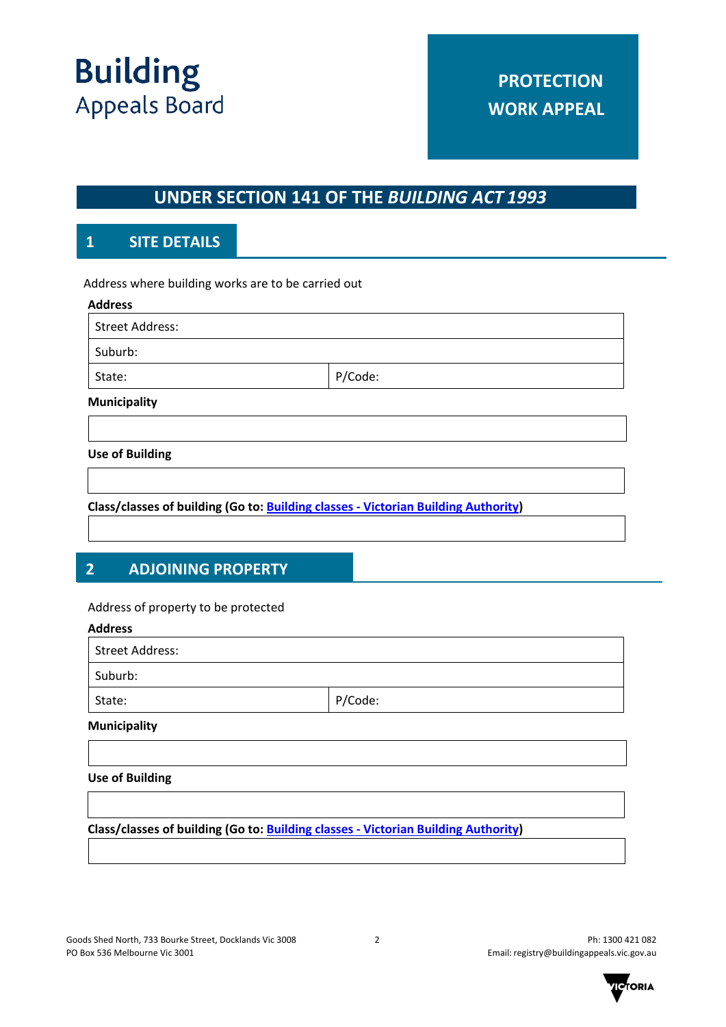

# **UNDER SECTION 141 OF THE** *BUILDING ACT 1993*

# **1 SITE DETAILS**

Address where building works are to be carried out

| <b>Address</b>         |         |  |
|------------------------|---------|--|
| <b>Street Address:</b> |         |  |
| Suburb:                |         |  |
| State:                 | P/Code: |  |
| <b>Municipality</b>    |         |  |
|                        |         |  |
| <b>Use of Building</b> |         |  |
|                        |         |  |

**Class/classes of building (Go to: [Building classes - Victorian Building Authority\)](https://www.vba.vic.gov.au/building/regulatory-framework/building-classes)**

# **2 ADJOINING PROPERTY**

#### Address of property to be protected

# **Address** Street Address: Suburb: State: P/Code:

# **Municipality**

#### **Use of Building**

**Class/classes of building (Go to: [Building classes - Victorian Building Authority\)](https://www.vba.vic.gov.au/building/regulatory-framework/building-classes)**

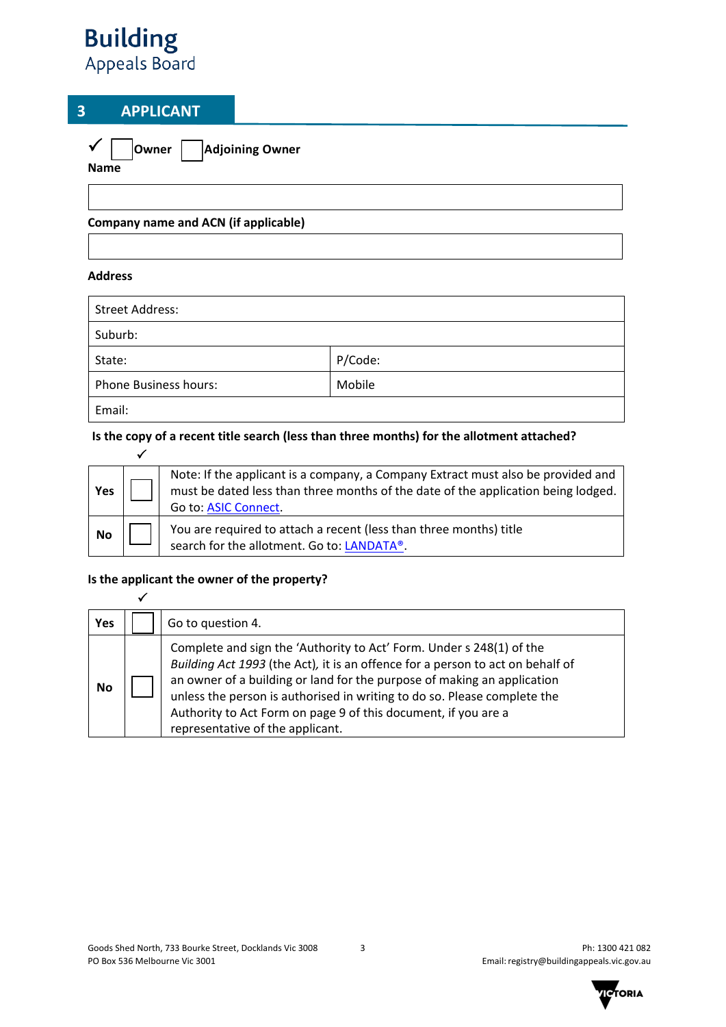# **3 APPLICANT**

|      | Owner   Adjoining Owner |
|------|-------------------------|
| Name |                         |

**Company name and ACN (if applicable)**

#### **Address**

 $\overline{\mathscr{L}}$ 

 $\checkmark$ 

| <b>Street Address:</b>       |         |
|------------------------------|---------|
| Suburb:                      |         |
| State:                       | P/Code: |
| <b>Phone Business hours:</b> | Mobile  |
| Email:                       |         |

## **Is the copy of a recent title search (less than three months) for the allotment attached?**

| Yes | Note: If the applicant is a company, a Company Extract must also be provided and<br>must be dated less than three months of the date of the application being lodged.<br>Go to: ASIC Connect. |
|-----|-----------------------------------------------------------------------------------------------------------------------------------------------------------------------------------------------|
| No  | You are required to attach a recent (less than three months) title<br>search for the allotment. Go to: LANDATA®.                                                                              |

#### **Is the applicant the owner of the property?**

| Yes       | Go to question 4.                                                                                                                                                                                                                                                                                                                                                                                                   |
|-----------|---------------------------------------------------------------------------------------------------------------------------------------------------------------------------------------------------------------------------------------------------------------------------------------------------------------------------------------------------------------------------------------------------------------------|
| <b>No</b> | Complete and sign the 'Authority to Act' Form. Under s 248(1) of the<br>Building Act 1993 (the Act), it is an offence for a person to act on behalf of<br>an owner of a building or land for the purpose of making an application<br>unless the person is authorised in writing to do so. Please complete the<br>Authority to Act Form on page 9 of this document, if you are a<br>representative of the applicant. |

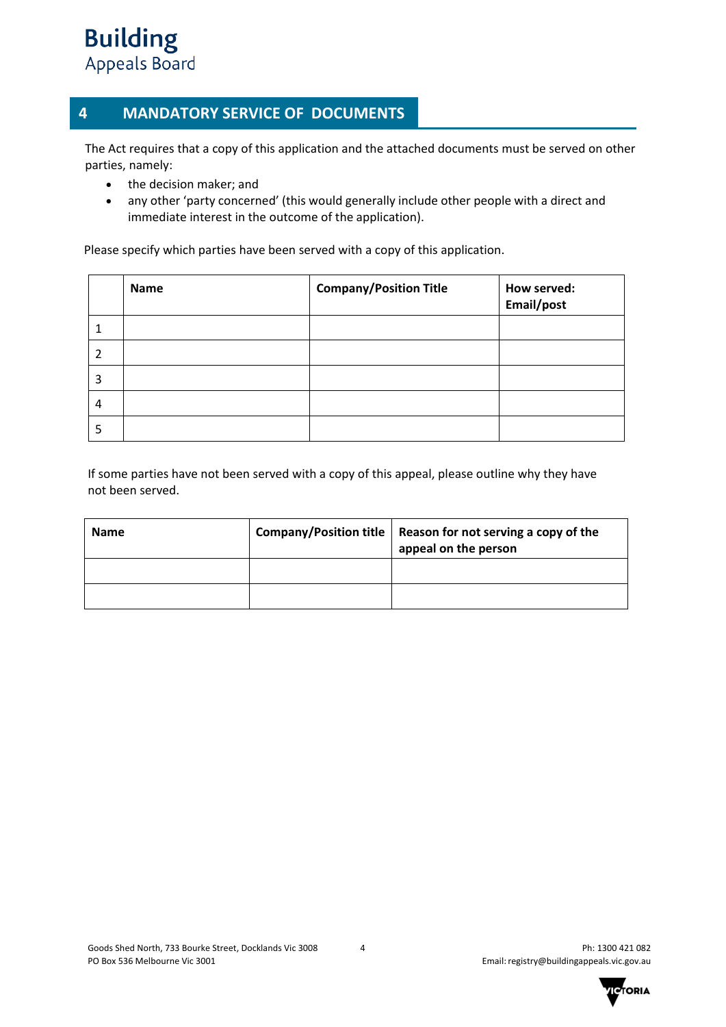# **2 MANDATORY SERVICE OF DOCUMENTS 4 MANDATORY SERVICE OF DOCUMENTS**

The Act requires that a copy of this application and the attached documents must be served on other parties, namely:

- the decision maker; and
- any other 'party concerned' (this would generally include other people with a direct and immediate interest in the outcome of the application).

Please specify which parties have been served with a copy of this application.

|   | Name | <b>Company/Position Title</b> | How served:<br>Email/post |
|---|------|-------------------------------|---------------------------|
|   |      |                               |                           |
| 2 |      |                               |                           |
| 3 |      |                               |                           |
| 4 |      |                               |                           |
| 5 |      |                               |                           |

If some parties have not been served with a copy of this appeal, please outline why they have not been served.

| <b>Name</b> | Company/Position title   Reason for not serving a copy of the<br>appeal on the person |
|-------------|---------------------------------------------------------------------------------------|
|             |                                                                                       |
|             |                                                                                       |

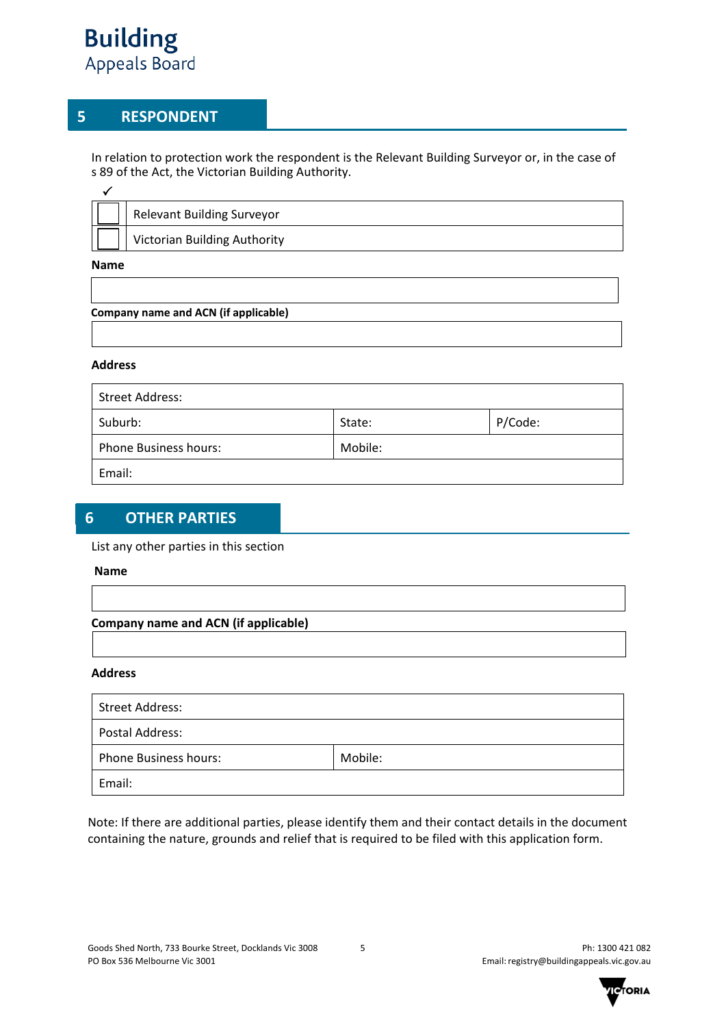## **5 RESPONDENT**

In relation to protection work the respondent is the Relevant Building Surveyor or, in the case of s 89 of the Act, the Victorian Building Authority.

| <b>Relevant Building Surveyor</b>   |
|-------------------------------------|
| <b>Victorian Building Authority</b> |
|                                     |

**Name**

#### **Company name and ACN (if applicable)**

#### **Address**

| Street Address:              |         |         |
|------------------------------|---------|---------|
| Suburb:                      | State:  | P/Code: |
| <b>Phone Business hours:</b> | Mobile: |         |
| Email:                       |         |         |

# **6 OTHER PARTIES**

#### List any other parties in this section

#### **Name**

#### **Company name and ACN (if applicable)**

#### **Address**

| Street Address:              |         |
|------------------------------|---------|
| Postal Address:              |         |
| <b>Phone Business hours:</b> | Mobile: |
| Email:                       |         |

Note: If there are additional parties, please identify them and their contact details in the document containing the nature, grounds and relief that is required to be filed with this application form.

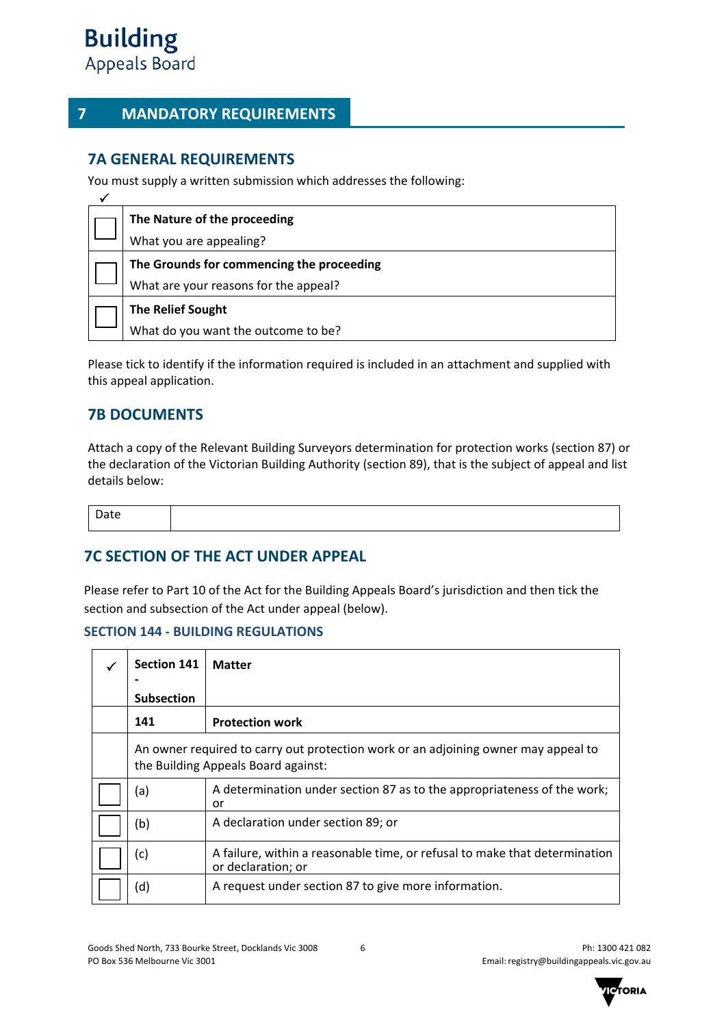## **7 MANDATORY REQUIREMENTS**

## **7A GENERAL REQUIREMENTS**

You must supply a written submission which addresses the following:

| The Nature of the proceeding              |
|-------------------------------------------|
| What you are appealing?                   |
| The Grounds for commencing the proceeding |
| What are your reasons for the appeal?     |
| <b>The Relief Sought</b>                  |
| What do you want the outcome to be?       |

Please tick to identify if the information required is included in an attachment and supplied with this appeal application.

## **7B DOCUMENTS**

Attach a copy of the Relevant Building Surveyors determination for protection works (section 87) or the declaration of the Victorian Building Authority (section 89), that is the subject of appeal and list details below:

Date

## **7C SECTION OF THE ACT UNDER APPEAL**

Please refer to Part 10 of the Act for the Building Appeals Board's jurisdiction and then tick the section and subsection of the Act under appeal (below).

#### **SECTION 144 - BUILDING REGULATIONS**

| <b>Section 141</b> | <b>Matter</b>                                                                                                             |
|--------------------|---------------------------------------------------------------------------------------------------------------------------|
| <b>Subsection</b>  |                                                                                                                           |
| 141                | <b>Protection work</b>                                                                                                    |
|                    | An owner required to carry out protection work or an adjoining owner may appeal to<br>the Building Appeals Board against: |
| (a)                | A determination under section 87 as to the appropriateness of the work;<br>or                                             |
| (b)                | A declaration under section 89; or                                                                                        |
| (c)                | A failure, within a reasonable time, or refusal to make that determination<br>or declaration; or                          |
| (d)                | A request under section 87 to give more information.                                                                      |

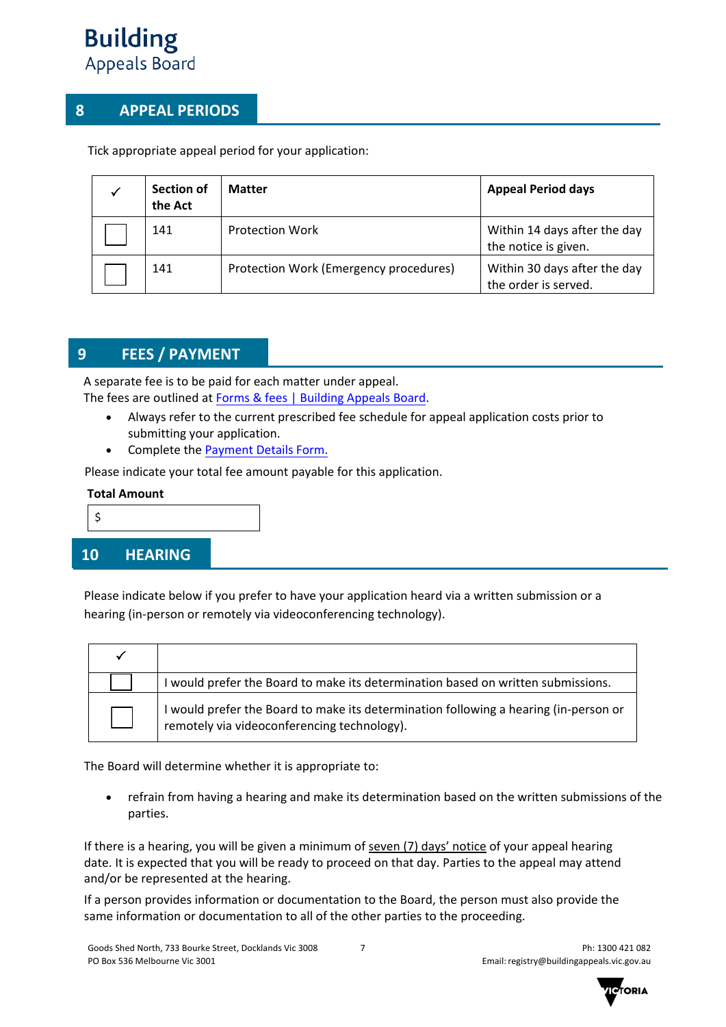# **8 APPEAL PERIODS**

Tick appropriate appeal period for your application:

| Section of<br>the Act | <b>Matter</b>                          | <b>Appeal Period days</b>                            |
|-----------------------|----------------------------------------|------------------------------------------------------|
| 141                   | <b>Protection Work</b>                 | Within 14 days after the day<br>the notice is given. |
| 141                   | Protection Work (Emergency procedures) | Within 30 days after the day<br>the order is served. |

# **9 FEES / PAYMENT**

A separate fee is to be paid for each matter under appeal. The fees are outlined at [Forms & fees | Building Appeals Board.](https://www.buildingappeals.vic.gov.au/how-to-apply/forms-and-fees)

- Always refer to the current prescribed fee schedule for appeal application costs prior to submitting your application.
- Complete the [Payment Details Form](https://www.buildingappeals.vic.gov.au/__data/assets/pdf_file/0010/48268/Payment-Form.pdf).

Please indicate your total fee amount payable for this application.

#### **Total Amount**

- \$
- 

## **10 HEARING**

Please indicate below if you prefer to have your application heard via a written submission or a hearing (in-person or remotely via videoconferencing technology).

| I would prefer the Board to make its determination based on written submissions.                                                    |
|-------------------------------------------------------------------------------------------------------------------------------------|
| I would prefer the Board to make its determination following a hearing (in-person or<br>remotely via videoconferencing technology). |

The Board will determine whether it is appropriate to:

• refrain from having a hearing and make its determination based on the written submissions of the parties.

If there is a hearing, you will be given a minimum of seven (7) days' notice of your appeal hearing date. It is expected that you will be ready to proceed on that day. Parties to the appeal may attend and/or be represented at the hearing.

If a person provides information or documentation to the Board, the person must also provide the same information or documentation to all of the other parties to the proceeding.

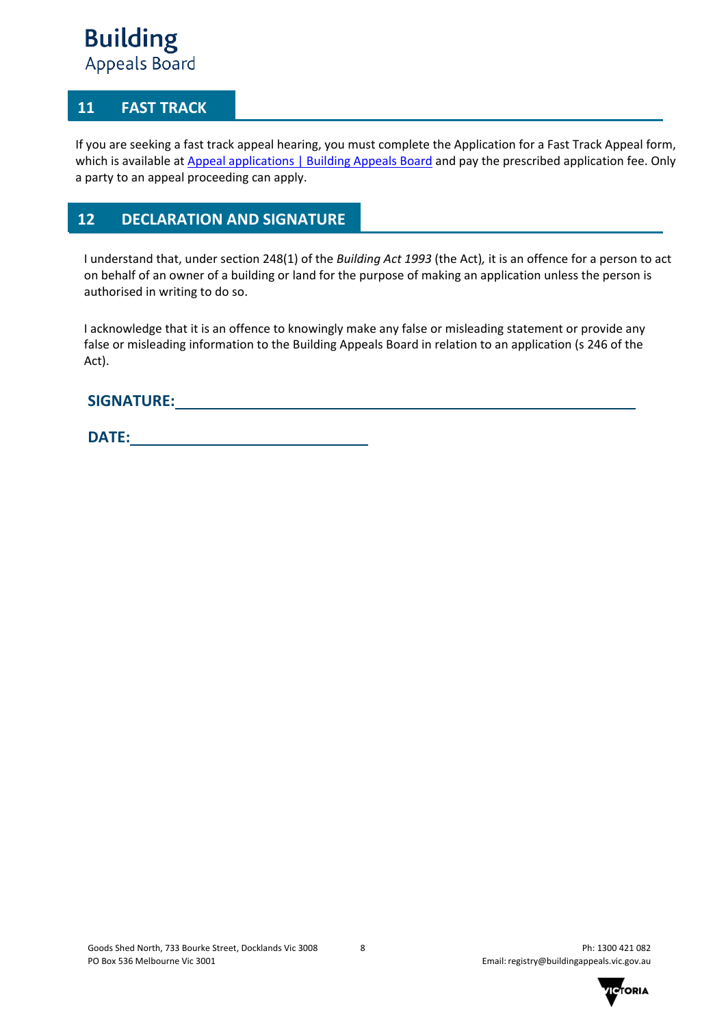## **11 FAST TRACK**

If you are seeking a fast track appeal hearing, you must complete the Application for a Fast Track Appeal form, which is available at [Appeal applications | Building Appeals Board](https://www.buildingappeals.vic.gov.au/how-to-apply/appeal-applications) and pay the prescribed application fee. Only a party to an appeal proceeding can apply.

## **12 DECLARATION AND SIGNATURE**

I understand that, under section 248(1) of the *Building Act 1993* (the Act)*,* it is an offence for a person to act on behalf of an owner of a building or land for the purpose of making an application unless the person is authorised in writing to do so.

I acknowledge that it is an offence to knowingly make any false or misleading statement or provide any false or misleading information to the Building Appeals Board in relation to an application (s 246 of the Act).

## **SIGNATURE:**

**DATE:** 

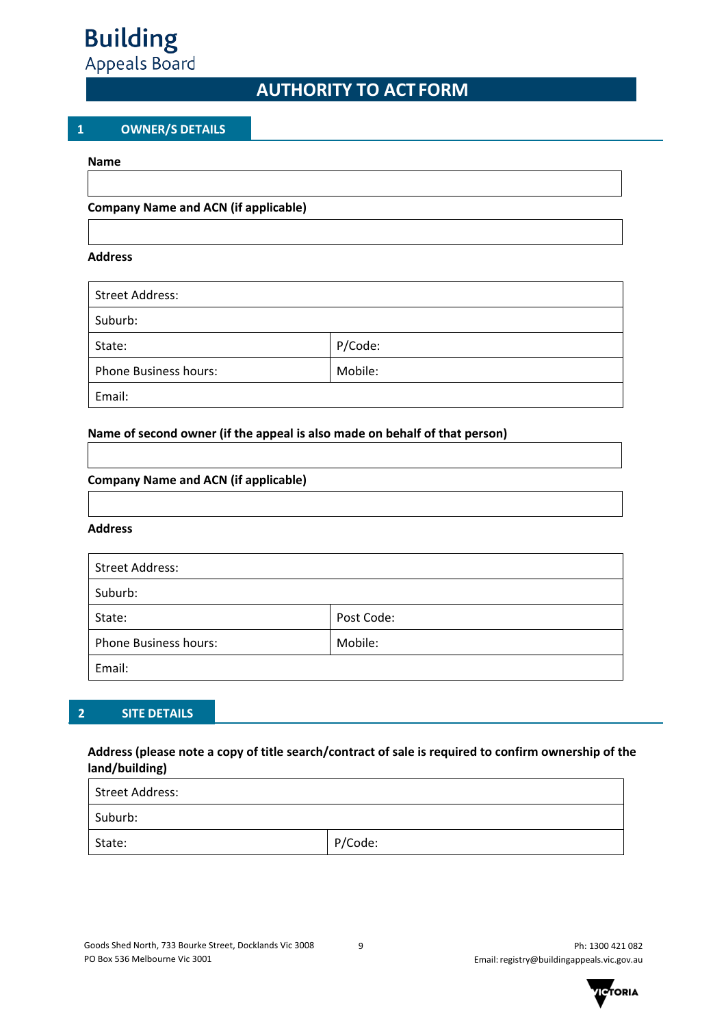

# **AUTHORITY TO ACT FORM**

#### **1 OWNER/S DETAILS**

#### **Name**

#### **Company Name and ACN (if applicable)**

#### **Address**

| <b>Street Address:</b>       |         |
|------------------------------|---------|
| Suburb:                      |         |
| State:                       | P/Code: |
| <b>Phone Business hours:</b> | Mobile: |
| Email:                       |         |

#### **Name of second owner (if the appeal is also made on behalf of that person)**

#### **Company Name and ACN (if applicable)**

#### **Address**

| <b>Street Address:</b>       |            |  |
|------------------------------|------------|--|
| Suburb:                      |            |  |
| State:                       | Post Code: |  |
| <b>Phone Business hours:</b> | Mobile:    |  |
| Email:                       |            |  |

#### **2 SITE DETAILS**

#### **Address (please note a copy of title search/contract of sale is required to confirm ownership of the land/building)**

| Street Address: |         |  |  |  |
|-----------------|---------|--|--|--|
| Suburb:         |         |  |  |  |
| State:          | P/Code: |  |  |  |

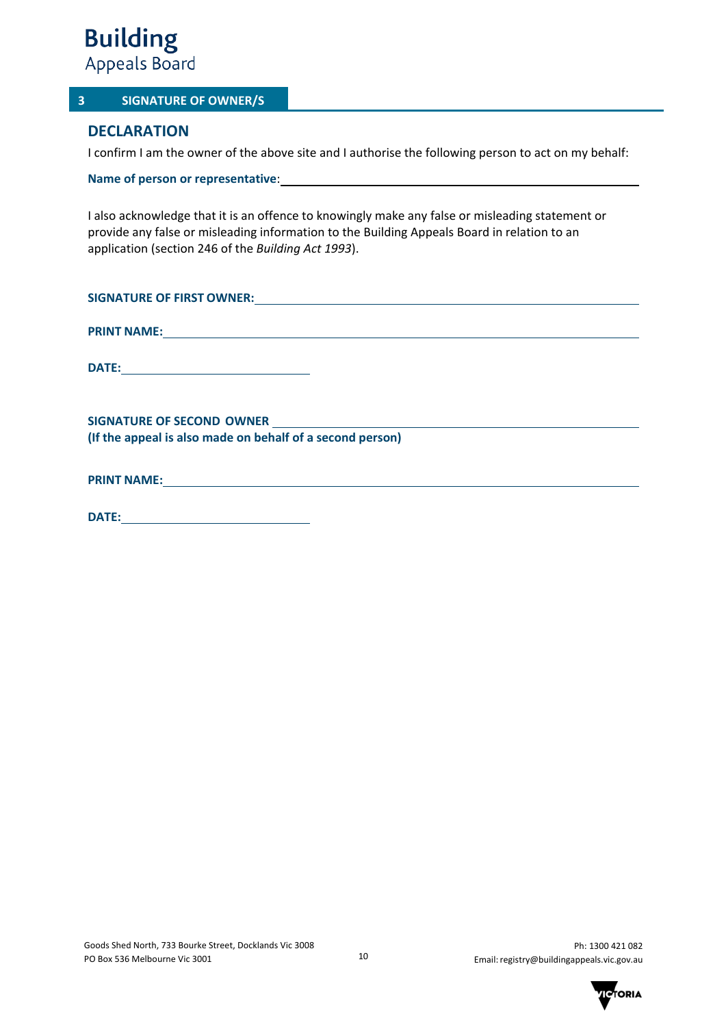

#### **3 SIGNATURE OF OWNER/S**

## **DECLARATION**

I confirm I am the owner of the above site and I authorise the following person to act on my behalf:

**Name of person or representative**:

I also acknowledge that it is an offence to knowingly make any false or misleading statement or provide any false or misleading information to the Building Appeals Board in relation to an application (section 246 of the *Building Act 1993*).

| (If the appeal is also made on behalf of a second person) |
|-----------------------------------------------------------|
|                                                           |
| PRINT NAME: NAME:                                         |

|--|

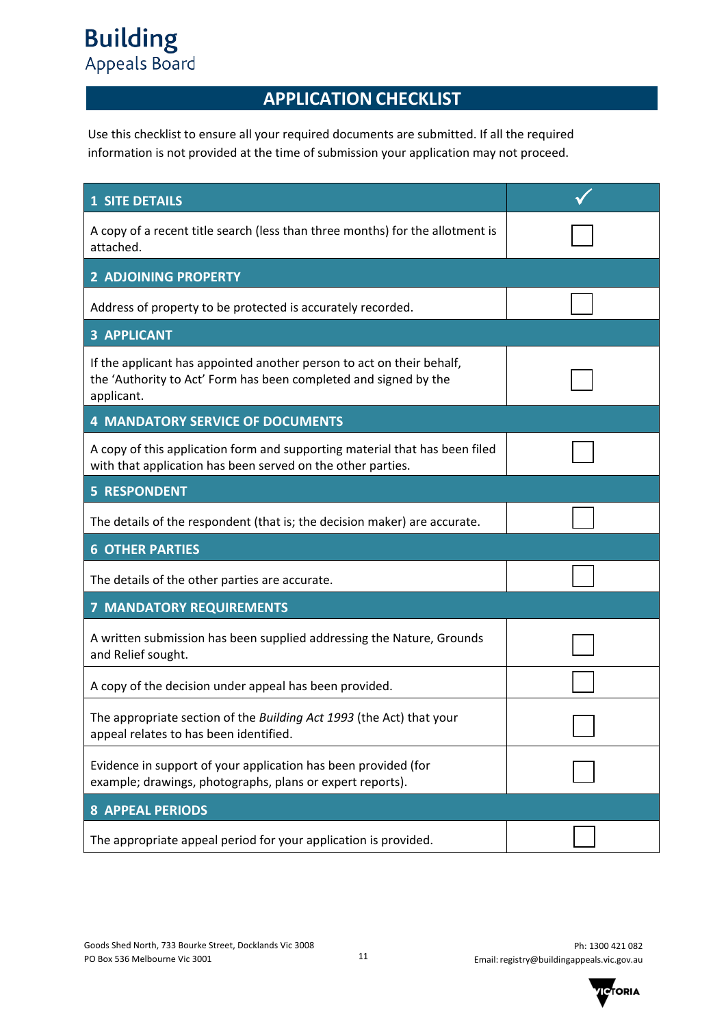# **APPLICATION CHECKLIST**

Use this checklist to ensure all your required documents are submitted. If all the required information is not provided at the time of submission your application may not proceed.

| <b>1 SITE DETAILS</b>                                                                                                                                   |  |
|---------------------------------------------------------------------------------------------------------------------------------------------------------|--|
| A copy of a recent title search (less than three months) for the allotment is<br>attached.                                                              |  |
| <b>2 ADJOINING PROPERTY</b>                                                                                                                             |  |
| Address of property to be protected is accurately recorded.                                                                                             |  |
| <b>3 APPLICANT</b>                                                                                                                                      |  |
| If the applicant has appointed another person to act on their behalf,<br>the 'Authority to Act' Form has been completed and signed by the<br>applicant. |  |
| <b>4 MANDATORY SERVICE OF DOCUMENTS</b>                                                                                                                 |  |
| A copy of this application form and supporting material that has been filed<br>with that application has been served on the other parties.              |  |
| <b>5 RESPONDENT</b>                                                                                                                                     |  |
| The details of the respondent (that is; the decision maker) are accurate.                                                                               |  |
| <b>6 OTHER PARTIES</b>                                                                                                                                  |  |
| The details of the other parties are accurate.                                                                                                          |  |
| <b>7 MANDATORY REQUIREMENTS</b>                                                                                                                         |  |
| A written submission has been supplied addressing the Nature, Grounds<br>and Relief sought.                                                             |  |
| A copy of the decision under appeal has been provided.                                                                                                  |  |
| The appropriate section of the Building Act 1993 (the Act) that your<br>appeal relates to has been identified.                                          |  |
| Evidence in support of your application has been provided (for<br>example; drawings, photographs, plans or expert reports).                             |  |
| <b>8 APPEAL PERIODS</b>                                                                                                                                 |  |
| The appropriate appeal period for your application is provided.                                                                                         |  |